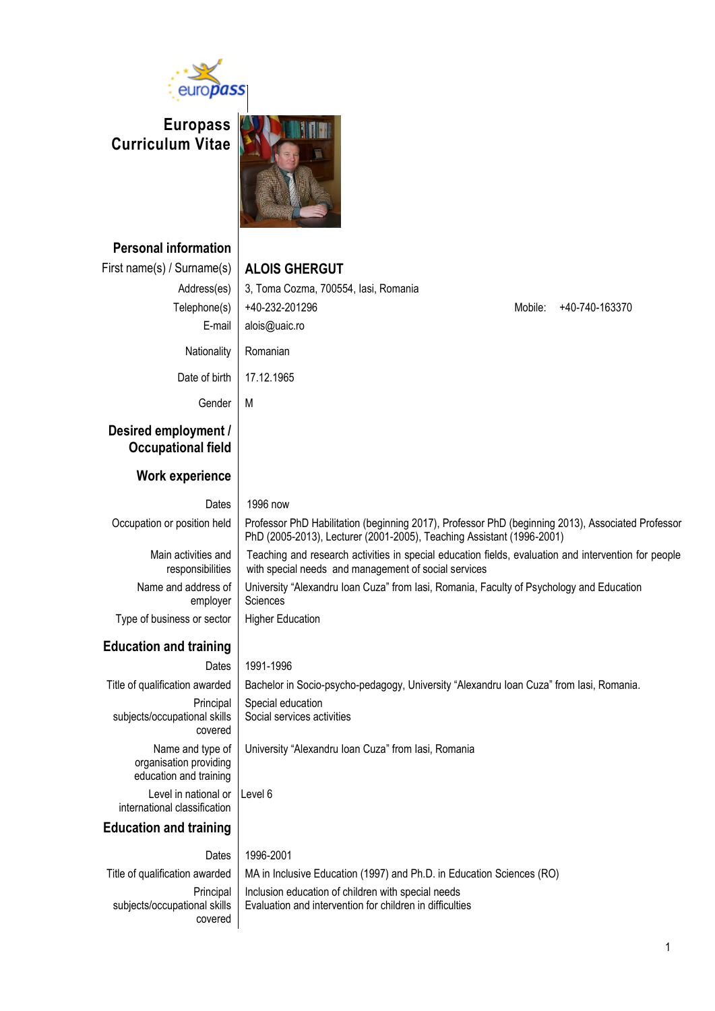

covered

**Europass Curriculum Vitae**



| <b>Personal information</b>                                          |                                                                                                                                                                            |  |  |  |  |  |  |  |  |
|----------------------------------------------------------------------|----------------------------------------------------------------------------------------------------------------------------------------------------------------------------|--|--|--|--|--|--|--|--|
| First name(s) / Surname(s)                                           | <b>ALOIS GHERGUT</b>                                                                                                                                                       |  |  |  |  |  |  |  |  |
| Address(es)                                                          | 3, Toma Cozma, 700554, Iasi, Romania                                                                                                                                       |  |  |  |  |  |  |  |  |
| Telephone(s)                                                         | +40-232-201296<br>+40-740-163370<br>Mobile:                                                                                                                                |  |  |  |  |  |  |  |  |
| E-mail                                                               | alois@uaic.ro                                                                                                                                                              |  |  |  |  |  |  |  |  |
| Nationality                                                          | Romanian                                                                                                                                                                   |  |  |  |  |  |  |  |  |
| Date of birth                                                        | 17.12.1965                                                                                                                                                                 |  |  |  |  |  |  |  |  |
| Gender                                                               | M                                                                                                                                                                          |  |  |  |  |  |  |  |  |
| Desired employment /<br><b>Occupational field</b>                    |                                                                                                                                                                            |  |  |  |  |  |  |  |  |
| <b>Work experience</b>                                               |                                                                                                                                                                            |  |  |  |  |  |  |  |  |
| Dates                                                                | 1996 now                                                                                                                                                                   |  |  |  |  |  |  |  |  |
| Occupation or position held                                          | Professor PhD Habilitation (beginning 2017), Professor PhD (beginning 2013), Associated Professor<br>PhD (2005-2013), Lecturer (2001-2005), Teaching Assistant (1996-2001) |  |  |  |  |  |  |  |  |
| Main activities and<br>responsibilities                              | Teaching and research activities in special education fields, evaluation and intervention for people<br>with special needs and management of social services               |  |  |  |  |  |  |  |  |
| Name and address of<br>employer                                      | University "Alexandru Ioan Cuza" from Iasi, Romania, Faculty of Psychology and Education<br>Sciences                                                                       |  |  |  |  |  |  |  |  |
| Type of business or sector                                           | <b>Higher Education</b>                                                                                                                                                    |  |  |  |  |  |  |  |  |
| <b>Education and training</b>                                        |                                                                                                                                                                            |  |  |  |  |  |  |  |  |
| Dates                                                                | 1991-1996                                                                                                                                                                  |  |  |  |  |  |  |  |  |
| Title of qualification awarded                                       | Bachelor in Socio-psycho-pedagogy, University "Alexandru Ioan Cuza" from lasi, Romania.                                                                                    |  |  |  |  |  |  |  |  |
| Principal<br>subjects/occupational skills<br>covered                 | Special education<br>Social services activities                                                                                                                            |  |  |  |  |  |  |  |  |
| Name and type of<br>organisation providing<br>education and training | University "Alexandru Ioan Cuza" from Iasi, Romania                                                                                                                        |  |  |  |  |  |  |  |  |
| Level in national or<br>international classification                 | Level 6                                                                                                                                                                    |  |  |  |  |  |  |  |  |
| <b>Education and training</b>                                        |                                                                                                                                                                            |  |  |  |  |  |  |  |  |
| Dates                                                                | 1996-2001                                                                                                                                                                  |  |  |  |  |  |  |  |  |
| Title of qualification awarded                                       | MA in Inclusive Education (1997) and Ph.D. in Education Sciences (RO)                                                                                                      |  |  |  |  |  |  |  |  |
| Principal<br>subjects/occupational skills                            | Inclusion education of children with special needs<br>Evaluation and intervention for children in difficulties                                                             |  |  |  |  |  |  |  |  |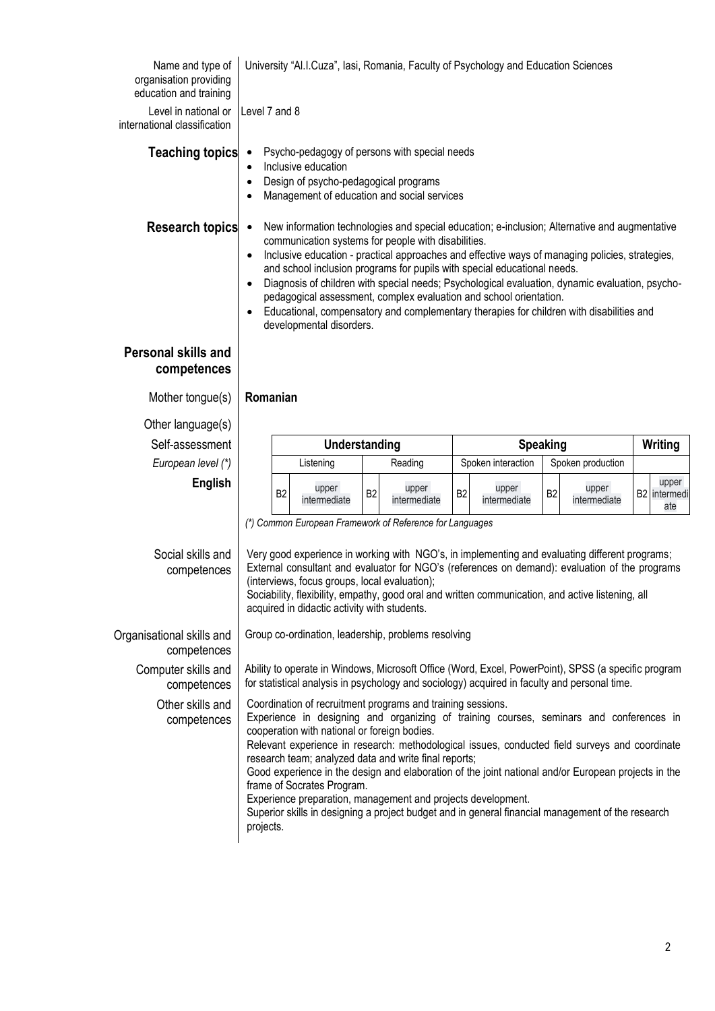| Name and type of<br>organisation providing<br>education and training | University "Al.I.Cuza", Iasi, Romania, Faculty of Psychology and Education Sciences                                                                                                                                                                                                                                                                                                                                                                                                                                                                                                                                                                                                      |                |                       |                |                       |                |                       |                |                       |  |                              |  |
|----------------------------------------------------------------------|------------------------------------------------------------------------------------------------------------------------------------------------------------------------------------------------------------------------------------------------------------------------------------------------------------------------------------------------------------------------------------------------------------------------------------------------------------------------------------------------------------------------------------------------------------------------------------------------------------------------------------------------------------------------------------------|----------------|-----------------------|----------------|-----------------------|----------------|-----------------------|----------------|-----------------------|--|------------------------------|--|
| Level in national or<br>international classification                 | Level 7 and 8                                                                                                                                                                                                                                                                                                                                                                                                                                                                                                                                                                                                                                                                            |                |                       |                |                       |                |                       |                |                       |  |                              |  |
| <b>Teaching topics</b>                                               | Psycho-pedagogy of persons with special needs<br>$\bullet$<br>Inclusive education<br>$\bullet$<br>Design of psycho-pedagogical programs<br>$\bullet$<br>Management of education and social services<br>$\bullet$                                                                                                                                                                                                                                                                                                                                                                                                                                                                         |                |                       |                |                       |                |                       |                |                       |  |                              |  |
| <b>Research topics</b>                                               | New information technologies and special education; e-inclusion; Alternative and augmentative<br>$\bullet$<br>communication systems for people with disabilities.<br>Inclusive education - practical approaches and effective ways of managing policies, strategies,<br>$\bullet$<br>and school inclusion programs for pupils with special educational needs.<br>Diagnosis of children with special needs; Psychological evaluation, dynamic evaluation, psycho-<br>$\bullet$<br>pedagogical assessment, complex evaluation and school orientation.<br>Educational, compensatory and complementary therapies for children with disabilities and<br>$\bullet$<br>developmental disorders. |                |                       |                |                       |                |                       |                |                       |  |                              |  |
| <b>Personal skills and</b><br>competences                            |                                                                                                                                                                                                                                                                                                                                                                                                                                                                                                                                                                                                                                                                                          |                |                       |                |                       |                |                       |                |                       |  |                              |  |
| Mother tongue(s)                                                     | Romanian                                                                                                                                                                                                                                                                                                                                                                                                                                                                                                                                                                                                                                                                                 |                |                       |                |                       |                |                       |                |                       |  |                              |  |
| Other language(s)                                                    |                                                                                                                                                                                                                                                                                                                                                                                                                                                                                                                                                                                                                                                                                          |                |                       |                |                       |                |                       |                |                       |  |                              |  |
| Self-assessment                                                      | Understanding<br><b>Speaking</b><br>Writing                                                                                                                                                                                                                                                                                                                                                                                                                                                                                                                                                                                                                                              |                |                       |                |                       |                |                       |                |                       |  |                              |  |
| European level (*)                                                   | Spoken interaction<br>Reading<br>Spoken production<br>Listening                                                                                                                                                                                                                                                                                                                                                                                                                                                                                                                                                                                                                          |                |                       |                |                       |                |                       |                |                       |  |                              |  |
| <b>English</b>                                                       |                                                                                                                                                                                                                                                                                                                                                                                                                                                                                                                                                                                                                                                                                          | B <sub>2</sub> | upper<br>intermediate | B <sub>2</sub> | upper<br>intermediate | B <sub>2</sub> | upper<br>intermediate | B <sub>2</sub> | upper<br>intermediate |  | upper<br>B2 intermedi<br>ate |  |
|                                                                      | (*) Common European Framework of Reference for Languages                                                                                                                                                                                                                                                                                                                                                                                                                                                                                                                                                                                                                                 |                |                       |                |                       |                |                       |                |                       |  |                              |  |
| Social skills and<br>competences                                     | Very good experience in working with NGO's, in implementing and evaluating different programs;<br>External consultant and evaluator for NGO's (references on demand): evaluation of the programs<br>(interviews, focus groups, local evaluation);<br>Sociability, flexibility, empathy, good oral and written communication, and active listening, all<br>acquired in didactic activity with students.                                                                                                                                                                                                                                                                                   |                |                       |                |                       |                |                       |                |                       |  |                              |  |
| Organisational skills and<br>competences                             | Group co-ordination, leadership, problems resolving                                                                                                                                                                                                                                                                                                                                                                                                                                                                                                                                                                                                                                      |                |                       |                |                       |                |                       |                |                       |  |                              |  |
| Computer skills and<br>competences                                   | Ability to operate in Windows, Microsoft Office (Word, Excel, PowerPoint), SPSS (a specific program<br>for statistical analysis in psychology and sociology) acquired in faculty and personal time.                                                                                                                                                                                                                                                                                                                                                                                                                                                                                      |                |                       |                |                       |                |                       |                |                       |  |                              |  |
| Other skills and<br>competences                                      | Coordination of recruitment programs and training sessions.<br>Experience in designing and organizing of training courses, seminars and conferences in<br>cooperation with national or foreign bodies.<br>Relevant experience in research: methodological issues, conducted field surveys and coordinate<br>research team; analyzed data and write final reports;<br>Good experience in the design and elaboration of the joint national and/or European projects in the<br>frame of Socrates Program.<br>Experience preparation, management and projects development.<br>Superior skills in designing a project budget and in general financial management of the research<br>projects. |                |                       |                |                       |                |                       |                |                       |  |                              |  |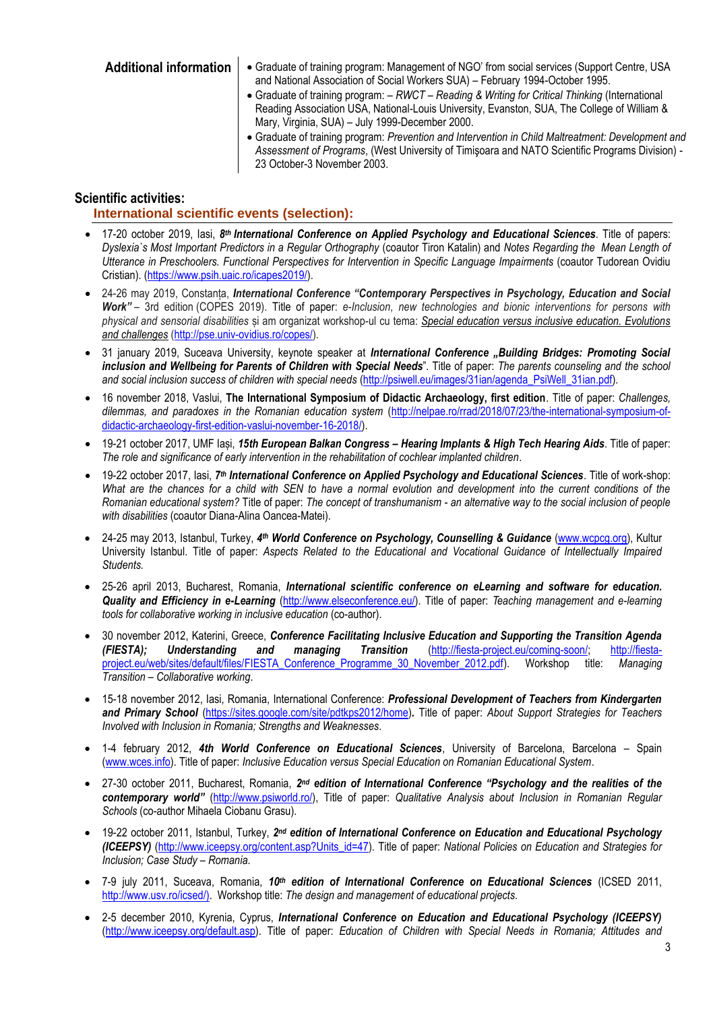- Additional information  $\cdot$  Graduate of training program: Management of NGO' from social services (Support Centre, USA and National Association of Social Workers SUA) – February 1994-October 1995.
	- Graduate of training program: *RWCT – Reading & Writing for Critical Thinking* (International Reading Association USA, National-Louis University, Evanston, SUA, The College of William & Mary, Virginia, SUA) – July 1999-December 2000.
	- Graduate of training program: *Prevention and Intervention in Child Maltreatment: Development and Assessment of Programs*, (West University of Timişoara and NATO Scientific Programs Division) - 23 October-3 November 2003.

## **Scientific activities:**

#### **International scientific events (selection):**

- 17-20 october 2019, Iasi, 8<sup>th</sup> International Conference on Applied Psychology and Educational Sciences. Title of papers: *Dyslexia`s Most Important Predictors in a Regular Orthography* (coautor Tiron Katalin) and *Notes Regarding the Mean Length of Utterance in Preschoolers. Functional Perspectives for Intervention in Specific Language Impairments* (coautor Tudorean Ovidiu Cristian). [\(https://www.psih.uaic.ro/icapes2019/\)](https://www.psih.uaic.ro/icapes2019/).
- 24-26 may 2019, Constanța, *International Conference "Contemporary Perspectives in Psychology, Education and Social Work"* – 3rd edition (COPES 2019). Title of paper: *e-Inclusion, new technologies and bionic interventions for persons with physical and sensorial disabilities* și am organizat workshop-ul cu tema: *[Special education versus inclusive education. Evolutions](http://pse.univ-ovidius.ro/copes/wp-content/uploads/2019/03/11.-VRASMAS-prezentare-workshop-SPED-EI-COPES-2019-1.doc)  [and challenges](http://pse.univ-ovidius.ro/copes/wp-content/uploads/2019/03/11.-VRASMAS-prezentare-workshop-SPED-EI-COPES-2019-1.doc)* [\(http://pse.univ-ovidius.ro/copes/\)](http://pse.univ-ovidius.ro/copes/).
- 31 january 2019, Suceava University, keynote speaker at *International Conference "Building Bridges: Promoting Social inclusion and Wellbeing for Parents of Children with Special Needs*". Title of paper: *The parents counseling and the school and social inclusion success of children with special needs* [\(http://psiwell.eu/images/31ian/agenda\\_PsiWell\\_31ian.pdf\)](http://psiwell.eu/images/31ian/agenda_PsiWell_31ian.pdf).
- 16 november 2018, Vaslui, **The International Symposium of Didactic Archaeology, first edition**. Title of paper: *Challenges, dilemmas, and paradoxes in the Romanian education system* [\(http://nelpae.ro/rrad/2018/07/23/the-international-symposium-of](http://nelpae.ro/rrad/2018/07/23/the-international-symposium-of-didactic-archaeology-first-edition-vaslui-november-16-2018/)[didactic-archaeology-first-edition-vaslui-november-16-2018/\)](http://nelpae.ro/rrad/2018/07/23/the-international-symposium-of-didactic-archaeology-first-edition-vaslui-november-16-2018/).
- 19-21 october 2017, UMF Iași, *15th European Balkan Congress – Hearing Implants & High Tech Hearing Aids*. Title of paper: *The role and significance of early intervention in the rehabilitation of cochlear implanted children*.
- 19-22 october 2017, lasi, 7<sup>th</sup> International Conference on Applied Psychology and Educational Sciences. Title of work-shop: What are the chances for a child with SEN to have a normal evolution and development into the current conditions of the *Romanian educational system?* Title of paper: *The concept of transhumanism - an alternative way to the social inclusion of people with disabilities* (coautor Diana-Alina Oancea-Matei).
- 24-25 may 2013, Istanbul, Turkey, *4 th World Conference on Psychology, Counselling & Guidance* [\(www.wcpcg.org\)](http://www.wcpcg.org/), Kultur University Istanbul. Title of paper: *Aspects Related to the Educational and Vocational Guidance of Intellectually Impaired Students.*
- 25-26 april 2013, Bucharest, Romania, *International scientific conference on eLearning and software for education. Quality and Efficiency in e-Learning* [\(http://www.elseconference.eu/\)](http://www.elseconference.eu/). Title of paper: *Teaching management and e-learning tools for collaborative working in inclusive education* (co-author).
- 30 november 2012, Katerini, Greece, *Conference Facilitating Inclusive Education and Supporting the Transition Agenda (FIESTA); Understanding and managing Transition* [\(http://fiesta-project.eu/coming-soon/;](http://fiesta-project.eu/coming-soon/) [http://fiesta](http://fiesta-project.eu/web/sites/default/files/FIESTA_Conference_Programme_30_November_2012.pdf)[project.eu/web/sites/default/files/FIESTA\\_Conference\\_Programme\\_30\\_November\\_2012.pdf\)](http://fiesta-project.eu/web/sites/default/files/FIESTA_Conference_Programme_30_November_2012.pdf). Workshop title: *Managing Transition – Collaborative working*.
- 15-18 november 2012, Iasi, Romania, International Conference: *Professional Development of Teachers from Kindergarten and Primary School* [\(https://sites.google.com/site/pdtkps2012/home\)](https://sites.google.com/site/pdtkps2012/home)*.* Title of paper: *About Support Strategies for Teachers Involved with Inclusion in Romania; Strengths and Weaknesses*.
- 1-4 february 2012, *4th World Conference on Educational Sciences*, University of Barcelona, Barcelona Spain [\(www.wces.info\)](http://www.wces.info/). Title of paper: *Inclusive Education versus Special Education on Romanian Educational System*.
- 27-30 october 2011, Bucharest, Romania, 2<sup>nd</sup> edition of International Conference "Psychology and the realities of the *contemporary world"* [\(http://www.psiworld.ro/\)](http://www.psiworld.ro/), Title of paper: *Qualitative Analysis about Inclusion in Romanian Regular Schools* (co-author Mihaela Ciobanu Grasu).
- <sup>o</sup> 19-22 october 2011, Istanbul, Turkey, 2<sup>nd</sup> edition of International Conference on Education and Educational Psychology *(ICEEPSY)* [\(http://www.iceepsy.org/content.asp?Units\\_id=47\)](http://www.iceepsy.org/content.asp?Units_id=47). Title of paper: *National Policies on Education and Strategies for Inclusion; Case Study – Romania.*
- 7-9 july 2011, Suceava, Romania, *10th edition of International Conference on Educational Sciences* (ICSED 2011, [http://www.usv.ro/icsed/\).](http://www.usv.ro/icsed/)) Workshop title: *The design and management of educational projects*.
- 2-5 december 2010, Kyrenia, Cyprus, *International Conference on Education and Educational Psychology (ICEEPSY)* [\(http://www.iceepsy.org/default.asp\)](http://www.iceepsy.org/default.asp). Title of paper: *Education of Children with Special Needs in Romania; Attitudes and*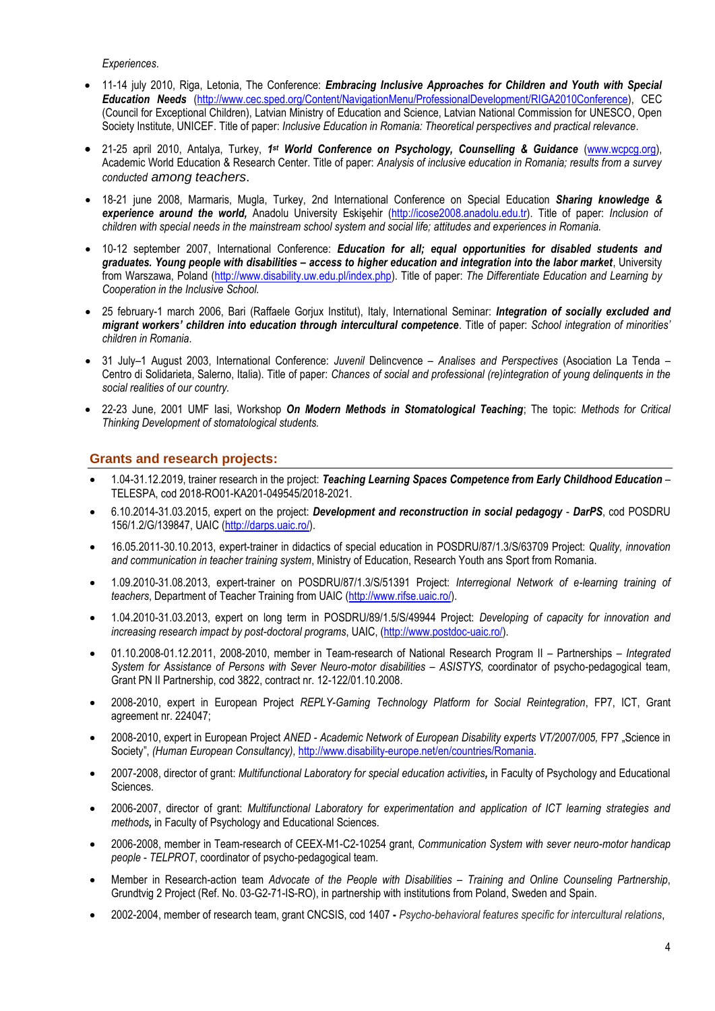*Experiences*.

- 11-14 july 2010, Riga, Letonia, The Conference: *Embracing Inclusive Approaches for Children and Youth with Special Education Needs* [\(http://www.cec.sped.org/Content/NavigationMenu/ProfessionalDevelopment/RIGA2010Conference\)](http://www.cec.sped.org/Content/NavigationMenu/ProfessionalDevelopment/RIGA2010Conference), CEC (Council for Exceptional Children), Latvian Ministry of Education and Science, Latvian National Commission for UNESCO, Open Society Institute, UNICEF. Title of paper: *Inclusive Education in Romania: Theoretical perspectives and practical relevance*.
- 21-25 april 2010, Antalya, Turkey, 1<sup>st</sup> World Conference on Psychology, Counselling & Guidance [\(www.wcpcg.org\)](http://www.wcpcg.org/), Academic World Education & Research Center. Title of paper: *Analysis of inclusive education in Romania; results from a survey conducted among teachers*.
- 18-21 june 2008, Marmaris, Mugla, Turkey, 2nd International Conference on Special Education *Sharing knowledge & experience around the world,* Anadolu University Eskişehir ([http://icose2008.anadolu.edu.tr\)](http://icose2008.anadolu.edu.tr/). Title of paper: *Inclusion of children with special needs in the mainstream school system and social life; attitudes and experiences in Romania.*
- 10-12 september 2007, International Conference: *Education for all; equal opportunities for disabled students and graduates. Young people with disabilities – access to higher education and integration into the labor market*, University from Warszawa, Poland [\(http://www.disability.uw.edu.pl/index.php\)](http://www.disability.uw.edu.pl/index.php). Title of paper: *The Differentiate Education and Learning by Cooperation in the Inclusive School.*
- 25 february-1 march 2006, Bari (Raffaele Gorjux Institut), Italy, International Seminar: *Integration of socially excluded and migrant workers' children into education through intercultural competence*. Title of paper: *School integration of minorities' children in Romania*.
- 31 July–1 August 2003, International Conference: *Juvenil* Delincvence *– Analises and Perspectives* (Asociation La Tenda Centro di Solidarieta, Salerno, Italia). Title of paper: *Chances of social and professional (re)integration of young delinquents in the social realities of our country.*
- 22-23 June, 2001 UMF Iasi, Workshop *On Modern Methods in Stomatological Teaching*; The topic: *Methods for Critical Thinking Development of stomatological students.*

#### **Grants and research projects:**

- 1.04-31.12.2019, trainer research in the project: *Teaching Learning Spaces Competence from Early Childhood Education* TELESPA, cod 2018-RO01-KA201-049545/2018-2021.
- 6.10.2014-31.03.2015, expert on the project: *Development and reconstruction in social pedagogy DarPS*, cod POSDRU 156/1.2/G/139847, UAIC [\(http://darps.uaic.ro/\)](http://darps.uaic.ro/).
- 16.05.2011-30.10.2013, expert-trainer in didactics of special education in POSDRU/87/1.3/S/63709 Project: *Quality, innovation and communication in teacher training system*, Ministry of Education, Research Youth ans Sport from Romania.
- 1.09.2010-31.08.2013, expert-trainer on POSDRU/87/1.3/S/51391 Project: *Interregional Network of e-learning training of teachers*, Department of Teacher Training from UAIC [\(http://www.rifse.uaic.ro/\)](http://www.rifse.uaic.ro/).
- 1.04.2010-31.03.2013, expert on long term in POSDRU/89/1.5/S/49944 Project: *Developing of capacity for innovation and increasing research impact by post-doctoral programs*, UAIC, [\(http://www.postdoc-uaic.ro/\)](http://www.postdoc-uaic.ro/).
- 01.10.2008-01.12.2011, 2008-2010, member in Team-research of National Research Program II Partnerships *Integrated*  System for Assistance of Persons with Sever Neuro-motor disabilities - ASISTYS, coordinator of psycho-pedagogical team, Grant PN II Partnership, cod 3822, contract nr. 12-122/01.10.2008.
- 2008-2010, expert in European Project *REPLY-Gaming Technology Platform for Social Reintegration*, FP7, ICT, Grant agreement nr. 224047;
- 2008-2010, expert in European Project *ANED - Academic Network of European Disability experts VT/2007/005,* FP7 "Science in Society", *(Human European Consultancy),* [http://www.disability-europe.net/en/countries/Romania.](http://www.disability-europe.net/en/countries/Romania)
- 2007-2008, director of grant: *Multifunctional Laboratory for special education activities,* in Faculty of Psychology and Educational Sciences.
- 2006-2007, director of grant: *Multifunctional Laboratory for experimentation and application of ICT learning strategies and methods,* in Faculty of Psychology and Educational Sciences.
- 2006-2008, member in Team-research of CEEX-M1-C2-10254 grant, *Communication System with sever neuro-motor handicap people* - *TELPROT*, coordinator of psycho-pedagogical team.
- Member in Research-action team *Advocate of the People with Disabilities – Training and Online Counseling Partnership*, Grundtvig 2 Project (Ref. No. 03-G2-71-IS-RO), in partnership with institutions from Poland, Sweden and Spain.
- 2002-2004, member of research team, grant CNCSIS, cod 1407 **-** *Psycho-behavioral features specific for intercultural relations*,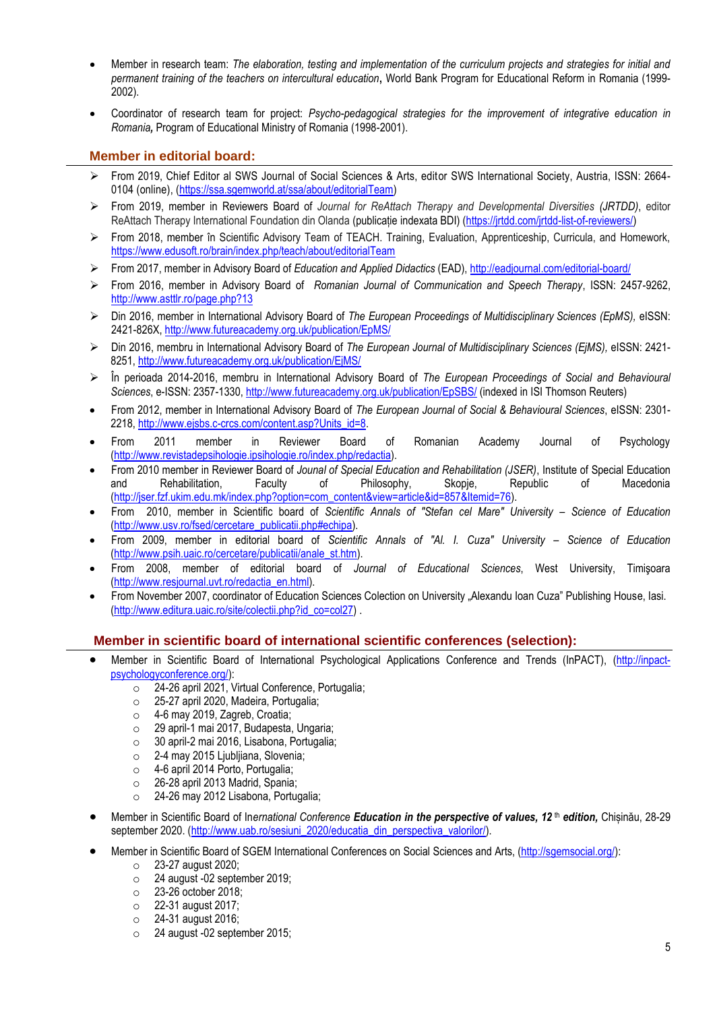- Member in research team: *The elaboration, testing and implementation of the curriculum projects and strategies for initial and permanent training of the teachers on intercultural education***,** World Bank Program for Educational Reform in Romania (1999- 2002).
- Coordinator of research team for project: *Psycho-pedagogical strategies for the improvement of integrative education in Romania,* Program of Educational Ministry of Romania (1998-2001).

## **Member in editorial board:**

- From 2019, Chief Editor al SWS Journal of Social Sciences & Arts, editor SWS International Society, Austria, ISSN: 2664- 0104 (online), [\(https://ssa.sgemworld.at/ssa/about/editorialTeam\)](https://ssa.sgemworld.at/ssa/about/editorialTeam)
- From 2019, member in Reviewers Board of *Journal for ReAttach Therapy and Developmental Diversities (JRTDD)*, editor ReAttach Therapy International Foundation din Olanda (publicație indexata BDI) ([https://jrtdd.com/jrtdd-list-of-reviewers/\)](https://jrtdd.com/jrtdd-list-of-reviewers/)
- From 2018, member în Scientific Advisory Team of TEACH. Training, Evaluation, Apprenticeship, Curricula, and Homework, <https://www.edusoft.ro/brain/index.php/teach/about/editorialTeam>
- From 2017, member in Advisory Board of *Education and Applied Didactics* (EAD)[, http://eadjournal.com/editorial-board/](http://eadjournal.com/editorial-board/)
- From 2016, member in Advisory Board of *Romanian Journal of Communication and Speech Therapy*, ISSN: 2457-9262, <http://www.asttlr.ro/page.php?13>
- Din 2016, member in International Advisory Board of *The European Proceedings of Multidisciplinary Sciences (EpMS),* eISSN: 2421-826X[, http://www.futureacademy.org.uk/publication/EpMS/](http://www.futureacademy.org.uk/publication/EpMS/)
- Din 2016, membru in International Advisory Board of *The European Journal of Multidisciplinary Sciences (EjMS),* eISSN: 2421- 8251,<http://www.futureacademy.org.uk/publication/EjMS/>
- În perioada 2014-2016, membru in International Advisory Board of *The European Proceedings of Social and Behavioural Sciences*, e-ISSN: 2357-1330,<http://www.futureacademy.org.uk/publication/EpSBS/> (indexed in ISI Thomson Reuters)
- From 2012, member in International Advisory Board of *The European Journal of Social & Behavioural Sciences*, eISSN: 2301- 2218, [http://www.ejsbs.c-crcs.com/content.asp?Units\\_id=8.](http://www.ejsbs.c-crcs.com/content.asp?Units_id=8)
- From 2011 member in Reviewer Board of Romanian Academy Journal of Psychology [\(http://www.revistadepsihologie.ipsihologie.ro/index.php/redactia\)](http://www.revistadepsihologie.ipsihologie.ro/index.php/redactia).
- From 2010 member in Reviewer Board of *Jounal of Special Education and Rehabilitation (JSER)*, Institute of Special Education and Rehabilitation, Faculty of Philosophy, Skopje, Republic of Macedonia [\(http://jser.fzf.ukim.edu.mk/index.php?option=com\\_content&view=article&id=857&Itemid=76\)](http://jser.fzf.ukim.edu.mk/index.php?option=com_content&view=article&id=857&Itemid=76).
- From 2010, member in Scientific board of *Scientific Annals of "Stefan cel Mare" University – Science of Education* [\(http://www.usv.ro/fsed/cercetare\\_publicatii.php#echipa\).](http://www.usv.ro/fsed/cercetare_publicatii.php#echipa)
- From 2009, member in editorial board of *Scientific Annals of "Al. I. Cuza" University – Science of Education* [\(http://www.psih.uaic.ro/cercetare/publicatii/anale\\_st.htm\)](http://www.psih.uaic.ro/cercetare/publicatii/anale_st.htm).
- From 2008, member of editorial board of *Journal of Educational Sciences*, West University, Timişoara [\(http://www.resjournal.uvt.ro/redactia\\_en.html\)](http://www.resjournal.uvt.ro/redactia_en.html).
- From November 2007, coordinator of Education Sciences Colection on University "Alexandu Ioan Cuza" Publishing House, Iasi. [\(http://www.editura.uaic.ro/site/colectii.php?id\\_co=col27\)](http://www.editura.uaic.ro/site/colectii.php?id_co=col27) .

#### **Member in scientific board of international scientific conferences (selection):**

- Member in Scientific Board of International Psychological Applications Conference and Trends (InPACT), [\(http://inpact](http://inpact-psychologyconference.org/)[psychologyconference.org/\)](http://inpact-psychologyconference.org/):
	- o 24-26 april 2021, Virtual Conference, Portugalia;
	- o 25-27 april 2020, Madeira, Portugalia;
	- o 4-6 may 2019, Zagreb, Croatia;
	- o 29 april-1 mai 2017, Budapesta, Ungaria;
	- o 30 april-2 mai 2016, Lisabona, Portugalia;
	- o 2-4 may 2015 Ljubljiana, Slovenia;
	- o 4-6 april 2014 Porto, Portugalia;
	- o 26-28 april 2013 Madrid, Spania;
	- o 24-26 may 2012 Lisabona, Portugalia;
- Member in Scientific Board of In*ernational Conference Education in the perspective of values, 12* th *edition,* Chișinău, 28-29 september 2020. [\(http://www.uab.ro/sesiuni\\_2020/educatia\\_din\\_perspectiva\\_valorilor/\)](http://www.uab.ro/sesiuni_2020/educatia_din_perspectiva_valorilor/).
- Member in Scientific Board of SGEM International Conferences on Social Sciences and Arts, [\(http://sgemsocial.org/\)](http://sgemsocial.org/):
	- o 23-27 august 2020;
	- o 24 august -02 september 2019;
	- o 23-26 october 2018;
	- o 22-31 august 2017;
	- o 24-31 august 2016;
	- $\circ$  24 august -02 september 2015;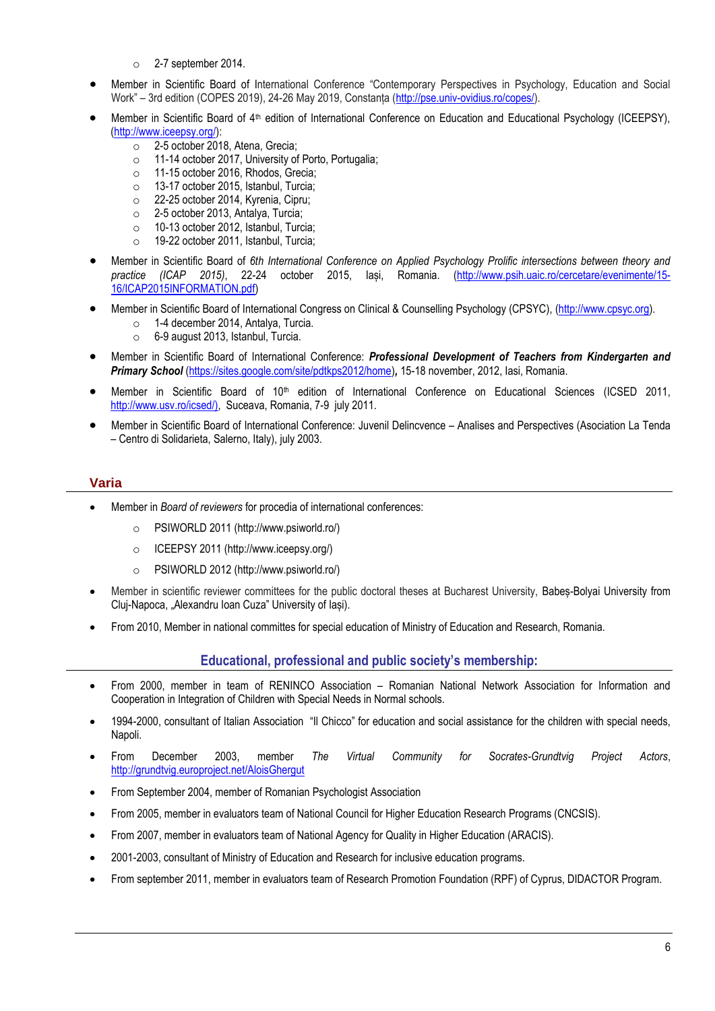- o 2-7 september 2014.
- Member in Scientific Board of International Conference "Contemporary Perspectives in Psychology, Education and Social Work" – 3rd edition (COPES 2019), 24-26 May 2019, Constanța ([http://pse.univ-ovidius.ro/copes/\)](http://pse.univ-ovidius.ro/copes/).
- Member in Scientific Board of 4<sup>th</sup> edition of International Conference on Education and Educational Psychology (ICEEPSY), [\(http://www.iceepsy.org/\)](http://www.iceepsy.org/):
	- o 2-5 october 2018, Atena, Grecia;
	- o 11-14 october 2017, University of Porto, Portugalia;
	- o 11-15 october 2016, Rhodos, Grecia;
	- o 13-17 october 2015, Istanbul, Turcia;
	- o 22-25 october 2014, Kyrenia, Cipru;
	- o 2-5 october 2013, Antalya, Turcia;
	- o 10-13 october 2012, Istanbul, Turcia;
	- o 19-22 october 2011, Istanbul, Turcia;
- Member in Scientific Board of *6th International Conference on Applied Psychology Prolific intersections between theory and practice (ICAP 2015)*, 22-24 october 2015, Iași, Romania. ([http://www.psih.uaic.ro/cercetare/evenimente/15-](http://www.psih.uaic.ro/cercetare/evenimente/15-16/ICAP2015INFORMATION.pdf) [16/ICAP2015INFORMATION.pdf\)](http://www.psih.uaic.ro/cercetare/evenimente/15-16/ICAP2015INFORMATION.pdf)
- Member in Scientific Board of International Congress on Clinical & Counselling Psychology (CPSYC), [\(http://www.cpsyc.org\)](http://www.cpsyc.org/). o 1-4 december 2014, Antalya, Turcia.
	- o 6-9 august 2013, Istanbul, Turcia.
- Member in Scientific Board of International Conference: *Professional Development of Teachers from Kindergarten and Primary School* [\(https://sites.google.com/site/pdtkps2012/home\)](https://sites.google.com/site/pdtkps2012/home)*,* 15-18 november, 2012, Iasi, Romania.
- Member in Scientific Board of 10th edition of International Conference on Educational Sciences (ICSED 2011, [http://www.usv.ro/icsed/\),](http://www.usv.ro/icsed/)) Suceava, Romania, 7-9 july 2011.
- Member in Scientific Board of International Conference: Juvenil Delincvence Analises and Perspectives (Asociation La Tenda – Centro di Solidarieta, Salerno, Italy), july 2003.

### **Varia**

- Member in *Board of reviewers* for procedia of international conferences:
	- o PSIWORLD 2011 (http://www.psiworld.ro/)
	- o ICEEPSY 2011 (http://www.iceepsy.org/)
	- o PSIWORLD 2012 (http://www.psiworld.ro/)
- Member in scientific reviewer committees for the public doctoral theses at Bucharest University, Babeș-Bolyai University from Cluj-Napoca, "Alexandru Ioan Cuza" University of Iași).
- From 2010, Member in national committes for special education of Ministry of Education and Research, Romania.

## **Educational, professional and public society's membership:**

- From 2000, member in team of RENINCO Association Romanian National Network Association for Information and Cooperation in Integration of Children with Special Needs in Normal schools.
- 1994-2000, consultant of Italian Association "Il Chicco" for education and social assistance for the children with special needs, Napoli.
- From December 2003, member *The Virtual Community for Socrates-Grundtvig Project Actors*, <http://grundtvig.europroject.net/AloisGhergut>
- From September 2004, member of Romanian Psychologist Association
- From 2005, member in evaluators team of National Council for Higher Education Research Programs (CNCSIS).
- From 2007, member in evaluators team of National Agency for Quality in Higher Education (ARACIS).
- 2001-2003, consultant of Ministry of Education and Research for inclusive education programs.
- From september 2011, member in evaluators team of Research Promotion Foundation (RPF) of Cyprus, DIDACTOR Program.